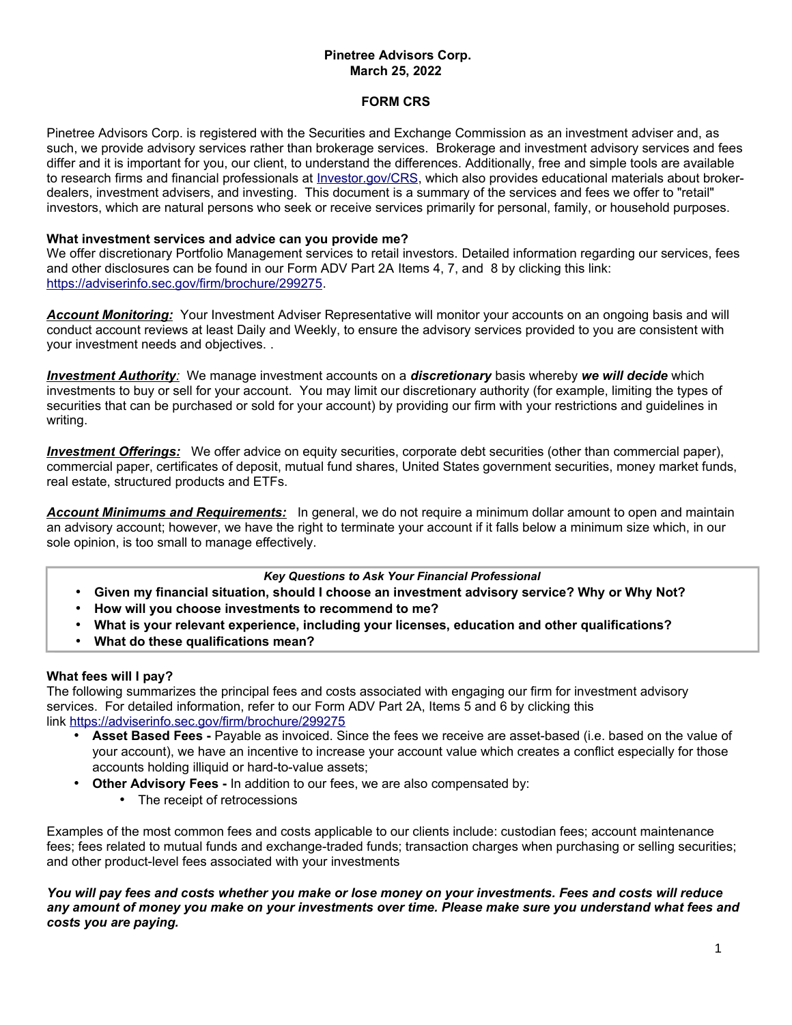# **Pinetree Advisors Corp. March 25, 2022**

### **FORM CRS**

Pinetree Advisors Corp. is registered with the Securities and Exchange Commission as an investment adviser and, as such, we provide advisory services rather than brokerage services. Brokerage and investment advisory services and fees differ and it is important for you, our client, to understand the differences. Additionally, free and simple tools are available to research firms and financial professionals at *Investor.gov/CRS*, which also provides educational materials about brokerdealers, investment advisers, and investing. This document is a summary of the services and fees we offer to "retail" investors, which are natural persons who seek or receive services primarily for personal, family, or household purposes.

### **What investment services and advice can you provide me?**

We offer discretionary Portfolio Management services to retail investors. Detailed information regarding our services, fees and other disclosures can be found in our Form ADV Part 2A Items 4, 7, and 8 by clicking this link: [https://adviserinfo.sec.gov/firm/brochure/299275.](https://adviserinfo.sec.gov/firm/brochure/299275)

*Account Monitoring:* Your Investment Adviser Representative will monitor your accounts on an ongoing basis and will conduct account reviews at least Daily and Weekly, to ensure the advisory services provided to you are consistent with your investment needs and objectives. .

 *Investment Authority:* We manage investment accounts on a *discretionary* basis whereby *we will decide* which investments to buy or sell for your account. You may limit our discretionary authority (for example, limiting the types of securities that can be purchased or sold for your account) by providing our firm with your restrictions and guidelines in writing.

 *Investment Offerings:* We offer advice on equity securities, corporate debt securities (other than commercial paper), commercial paper, certificates of deposit, mutual fund shares, United States government securities, money market funds, real estate, structured products and ETFs.

*Account Minimums and Requirements:* In general, we do not require a minimum dollar amount to open and maintain an advisory account; however, we have the right to terminate your account if it falls below a minimum size which, in our sole opinion, is too small to manage effectively.

## *Key Questions to Ask Your Financial Professional*

- **Given my financial situation, should I choose an investment advisory service? Why or Why Not?**
- **How will you choose investments to recommend to me?**
- **What is your relevant experience, including your licenses, education and other qualifications?**
- **What do these qualifications mean?**

#### **What fees will I pay?**

The following summarizes the principal fees and costs associated with engaging our firm for investment advisory services. For detailed information, refer to our Form ADV Part 2A, Items 5 and 6 by clicking this link <https://adviserinfo.sec.gov/firm/brochure/299275>

- **Asset Based Fees -** Payable as invoiced. Since the fees we receive are asset-based (i.e. based on the value of your account), we have an incentive to increase your account value which creates a conflict especially for those accounts holding illiquid or hard-to-value assets;
- **Other Advisory Fees -** In addition to our fees, we are also compensated by:
	- The receipt of retrocessions

Examples of the most common fees and costs applicable to our clients include: custodian fees; account maintenance fees; fees related to mutual funds and exchange-traded funds; transaction charges when purchasing or selling securities; and other product-level fees associated with your investments

*You will pay fees and costs whether you make or lose money on your investments. Fees and costs will reduce any amount of money you make on your investments over time. Please make sure you understand what fees and costs you are paying.*